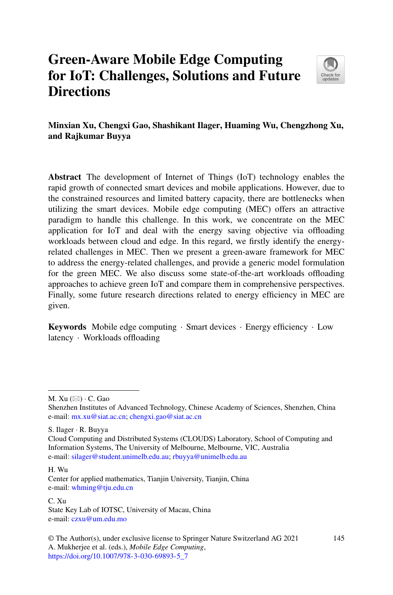# **Green-Aware Mobile Edge Computing for IoT: Challenges, Solutions and Future Directions**



**Minxian Xu, Chengxi Gao, Shashikant Ilager, Huaming Wu, Chengzhong Xu, and Rajkumar Buyya**

**Abstract** The development of Internet of Things (IoT) technology enables the rapid growth of connected smart devices and mobile applications. However, due to the constrained resources and limited battery capacity, there are bottlenecks when utilizing the smart devices. Mobile edge computing (MEC) offers an attractive paradigm to handle this challenge. In this work, we concentrate on the MEC application for IoT and deal with the energy saving objective via offloading workloads between cloud and edge. In this regard, we firstly identify the energyrelated challenges in MEC. Then we present a green-aware framework for MEC to address the energy-related challenges, and provide a generic model formulation for the green MEC. We also discuss some state-of-the-art workloads offloading approaches to achieve green IoT and compare them in comprehensive perspectives. Finally, some future research directions related to energy efficiency in MEC are given.

**Keywords** Mobile edge computing · Smart devices · Energy efficiency · Low latency · Workloads offloading

S. Ilager · R. Buyya

H. Wu

M. Xu (⊠) · C. Gao

Shenzhen Institutes of Advanced Technology, Chinese Academy of Sciences, Shenzhen, China e-mail: [mx.xu@siat.ac.cn;](mailto:mx.xu@siat.ac.cn) [chengxi.gao@siat.ac.cn](mailto:chengxi.gao@siat.ac.cn)

Cloud Computing and Distributed Systems (CLOUDS) Laboratory, School of Computing and Information Systems, The University of Melbourne, Melbourne, VIC, Australia e-mail: [silager@student.unimelb.edu.au;](mailto:silager@student.unimelb.edu.au) [rbuyya@unimelb.edu.au](mailto:rbuyya@unimelb.edu.au)

Center for applied mathematics, Tianjin University, Tianjin, China e-mail: [whming@tju.edu.cn](mailto:whming@tju.edu.cn)

C. Xu State Key Lab of IOTSC, University of Macau, China e-mail: [czxu@um.edu.mo](mailto:czxu@um.edu.mo)

<sup>©</sup> The Author(s), under exclusive license to Springer Nature Switzerland AG 2021 A. Mukherjee et al. (eds.), *Mobile Edge Computing*, [https://doi.org/10.1007/978-3-030-69893-5\\_7](https://doi.org/10.1007/978-3-030-69893-5_7)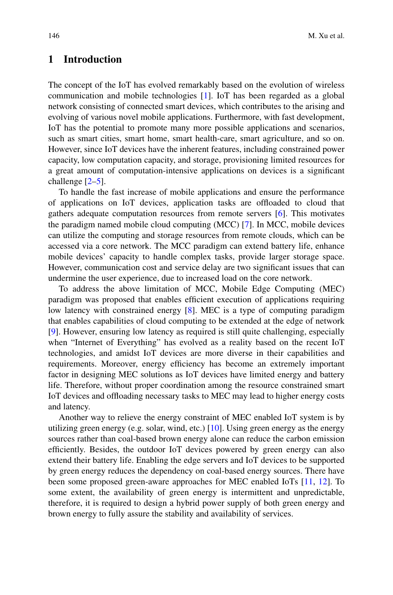# **1 Introduction**

The concept of the IoT has evolved remarkably based on the evolution of wireless communication and mobile technologies [\[1\]](#page-18-0). IoT has been regarded as a global network consisting of connected smart devices, which contributes to the arising and evolving of various novel mobile applications. Furthermore, with fast development, IoT has the potential to promote many more possible applications and scenarios, such as smart cities, smart home, smart health-care, smart agriculture, and so on. However, since IoT devices have the inherent features, including constrained power capacity, low computation capacity, and storage, provisioning limited resources for a great amount of computation-intensive applications on devices is a significant challenge [\[2–](#page-18-1)[5\]](#page-18-2).

To handle the fast increase of mobile applications and ensure the performance of applications on IoT devices, application tasks are offloaded to cloud that gathers adequate computation resources from remote servers [\[6\]](#page-18-3). This motivates the paradigm named mobile cloud computing (MCC) [\[7\]](#page-18-4). In MCC, mobile devices can utilize the computing and storage resources from remote clouds, which can be accessed via a core network. The MCC paradigm can extend battery life, enhance mobile devices' capacity to handle complex tasks, provide larger storage space. However, communication cost and service delay are two significant issues that can undermine the user experience, due to increased load on the core network.

To address the above limitation of MCC, Mobile Edge Computing (MEC) paradigm was proposed that enables efficient execution of applications requiring low latency with constrained energy [\[8\]](#page-18-5). MEC is a type of computing paradigm that enables capabilities of cloud computing to be extended at the edge of network [\[9\]](#page-18-6). However, ensuring low latency as required is still quite challenging, especially when "Internet of Everything" has evolved as a reality based on the recent IoT technologies, and amidst IoT devices are more diverse in their capabilities and requirements. Moreover, energy efficiency has become an extremely important factor in designing MEC solutions as IoT devices have limited energy and battery life. Therefore, without proper coordination among the resource constrained smart IoT devices and offloading necessary tasks to MEC may lead to higher energy costs and latency.

Another way to relieve the energy constraint of MEC enabled IoT system is by utilizing green energy (e.g. solar, wind, etc.) [\[10\]](#page-18-7). Using green energy as the energy sources rather than coal-based brown energy alone can reduce the carbon emission efficiently. Besides, the outdoor IoT devices powered by green energy can also extend their battery life. Enabling the edge servers and IoT devices to be supported by green energy reduces the dependency on coal-based energy sources. There have been some proposed green-aware approaches for MEC enabled IoTs [\[11,](#page-18-8) [12\]](#page-18-9). To some extent, the availability of green energy is intermittent and unpredictable, therefore, it is required to design a hybrid power supply of both green energy and brown energy to fully assure the stability and availability of services.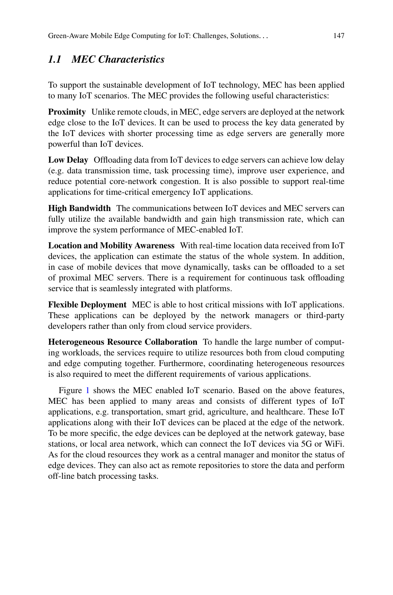# *1.1 MEC Characteristics*

To support the sustainable development of IoT technology, MEC has been applied to many IoT scenarios. The MEC provides the following useful characteristics:

**Proximity** Unlike remote clouds, in MEC, edge servers are deployed at the network edge close to the IoT devices. It can be used to process the key data generated by the IoT devices with shorter processing time as edge servers are generally more powerful than IoT devices.

**Low Delay** Offloading data from IoT devices to edge servers can achieve low delay (e.g. data transmission time, task processing time), improve user experience, and reduce potential core-network congestion. It is also possible to support real-time applications for time-critical emergency IoT applications.

**High Bandwidth** The communications between IoT devices and MEC servers can fully utilize the available bandwidth and gain high transmission rate, which can improve the system performance of MEC-enabled IoT.

**Location and Mobility Awareness** With real-time location data received from IoT devices, the application can estimate the status of the whole system. In addition, in case of mobile devices that move dynamically, tasks can be offloaded to a set of proximal MEC servers. There is a requirement for continuous task offloading service that is seamlessly integrated with platforms.

**Flexible Deployment** MEC is able to host critical missions with IoT applications. These applications can be deployed by the network managers or third-party developers rather than only from cloud service providers.

**Heterogeneous Resource Collaboration** To handle the large number of computing workloads, the services require to utilize resources both from cloud computing and edge computing together. Furthermore, coordinating heterogeneous resources is also required to meet the different requirements of various applications.

Figure [1](#page-3-0) shows the MEC enabled IoT scenario. Based on the above features, MEC has been applied to many areas and consists of different types of IoT applications, e.g. transportation, smart grid, agriculture, and healthcare. These IoT applications along with their IoT devices can be placed at the edge of the network. To be more specific, the edge devices can be deployed at the network gateway, base stations, or local area network, which can connect the IoT devices via 5G or WiFi. As for the cloud resources they work as a central manager and monitor the status of edge devices. They can also act as remote repositories to store the data and perform off-line batch processing tasks.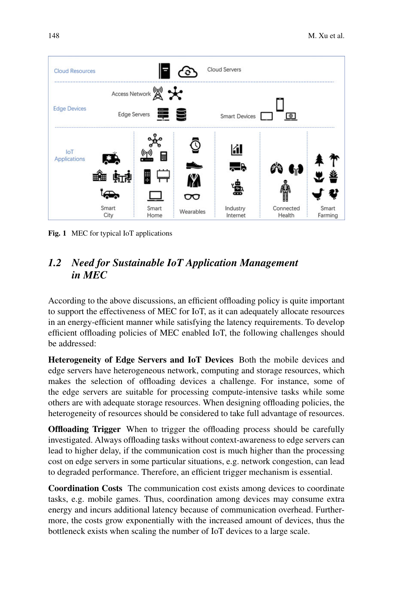

<span id="page-3-0"></span>**Fig. 1** MEC for typical IoT applications

# *1.2 Need for Sustainable IoT Application Management in MEC*

According to the above discussions, an efficient offloading policy is quite important to support the effectiveness of MEC for IoT, as it can adequately allocate resources in an energy-efficient manner while satisfying the latency requirements. To develop efficient offloading policies of MEC enabled IoT, the following challenges should be addressed:

**Heterogeneity of Edge Servers and IoT Devices** Both the mobile devices and edge servers have heterogeneous network, computing and storage resources, which makes the selection of offloading devices a challenge. For instance, some of the edge servers are suitable for processing compute-intensive tasks while some others are with adequate storage resources. When designing offloading policies, the heterogeneity of resources should be considered to take full advantage of resources.

**Offloading Trigger** When to trigger the offloading process should be carefully investigated. Always offloading tasks without context-awareness to edge servers can lead to higher delay, if the communication cost is much higher than the processing cost on edge servers in some particular situations, e.g. network congestion, can lead to degraded performance. Therefore, an efficient trigger mechanism is essential.

**Coordination Costs** The communication cost exists among devices to coordinate tasks, e.g. mobile games. Thus, coordination among devices may consume extra energy and incurs additional latency because of communication overhead. Furthermore, the costs grow exponentially with the increased amount of devices, thus the bottleneck exists when scaling the number of IoT devices to a large scale.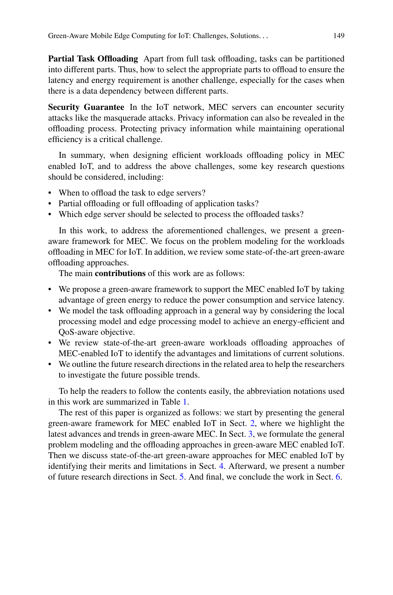**Partial Task Offloading** Apart from full task offloading, tasks can be partitioned into different parts. Thus, how to select the appropriate parts to offload to ensure the latency and energy requirement is another challenge, especially for the cases when there is a data dependency between different parts.

**Security Guarantee** In the IoT network, MEC servers can encounter security attacks like the masquerade attacks. Privacy information can also be revealed in the offloading process. Protecting privacy information while maintaining operational efficiency is a critical challenge.

In summary, when designing efficient workloads offloading policy in MEC enabled IoT, and to address the above challenges, some key research questions should be considered, including:

- When to offload the task to edge servers?
- Partial offloading or full offloading of application tasks?
- Which edge server should be selected to process the offloaded tasks?

In this work, to address the aforementioned challenges, we present a greenaware framework for MEC. We focus on the problem modeling for the workloads offloading in MEC for IoT. In addition, we review some state-of-the-art green-aware offloading approaches.

The main **contributions** of this work are as follows:

- We propose a green-aware framework to support the MEC enabled IoT by taking advantage of green energy to reduce the power consumption and service latency.
- We model the task offloading approach in a general way by considering the local processing model and edge processing model to achieve an energy-efficient and QoS-aware objective.
- We review state-of-the-art green-aware workloads offloading approaches of MEC-enabled IoT to identify the advantages and limitations of current solutions.
- We outline the future research directions in the related area to help the researchers to investigate the future possible trends.

To help the readers to follow the contents easily, the abbreviation notations used in this work are summarized in Table [1.](#page-5-0)

<span id="page-4-0"></span>The rest of this paper is organized as follows: we start by presenting the general green-aware framework for MEC enabled IoT in Sect. [2,](#page-4-0) where we highlight the latest advances and trends in green-aware MEC. In Sect. [3,](#page-6-0) we formulate the general problem modeling and the offloading approaches in green-aware MEC enabled IoT. Then we discuss state-of-the-art green-aware approaches for MEC enabled IoT by identifying their merits and limitations in Sect. [4.](#page-10-0) Afterward, we present a number of future research directions in Sect. [5.](#page-15-0) And final, we conclude the work in Sect. [6.](#page-17-0)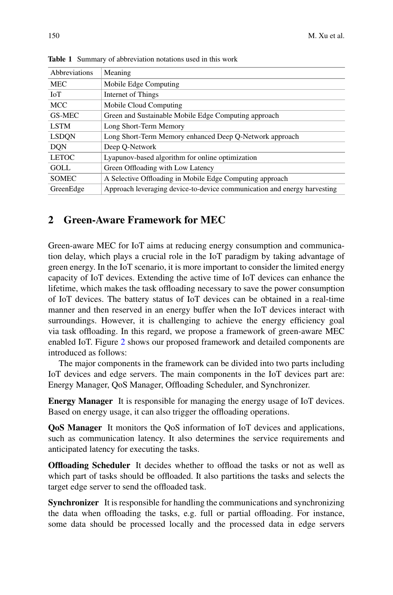| Abbreviations | Meaning                                                                  |
|---------------|--------------------------------------------------------------------------|
| <b>MEC</b>    | Mobile Edge Computing                                                    |
| <b>IoT</b>    | Internet of Things                                                       |
| <b>MCC</b>    | Mobile Cloud Computing                                                   |
| GS-MEC        | Green and Sustainable Mobile Edge Computing approach                     |
| <b>LSTM</b>   | Long Short-Term Memory                                                   |
| <b>LSDON</b>  | Long Short-Term Memory enhanced Deep Q-Network approach                  |
| <b>DON</b>    | Deep O-Network                                                           |
| <b>LETOC</b>  | Lyapunov-based algorithm for online optimization                         |
| GOLL.         | Green Offloading with Low Latency                                        |
| <b>SOMEC</b>  | A Selective Offloading in Mobile Edge Computing approach                 |
| GreenEdge     | Approach leveraging device-to-device communication and energy harvesting |

<span id="page-5-0"></span>**Table 1** Summary of abbreviation notations used in this work

#### **2 Green-Aware Framework for MEC**

Green-aware MEC for IoT aims at reducing energy consumption and communication delay, which plays a crucial role in the IoT paradigm by taking advantage of green energy. In the IoT scenario, it is more important to consider the limited energy capacity of IoT devices. Extending the active time of IoT devices can enhance the lifetime, which makes the task offloading necessary to save the power consumption of IoT devices. The battery status of IoT devices can be obtained in a real-time manner and then reserved in an energy buffer when the IoT devices interact with surroundings. However, it is challenging to achieve the energy efficiency goal via task offloading. In this regard, we propose a framework of green-aware MEC enabled IoT. Figure [2](#page-6-1) shows our proposed framework and detailed components are introduced as follows:

The major components in the framework can be divided into two parts including IoT devices and edge servers. The main components in the IoT devices part are: Energy Manager, QoS Manager, Offloading Scheduler, and Synchronizer.

**Energy Manager** It is responsible for managing the energy usage of IoT devices. Based on energy usage, it can also trigger the offloading operations.

**QoS Manager** It monitors the QoS information of IoT devices and applications, such as communication latency. It also determines the service requirements and anticipated latency for executing the tasks.

**Offloading Scheduler** It decides whether to offload the tasks or not as well as which part of tasks should be offloaded. It also partitions the tasks and selects the target edge server to send the offloaded task.

**Synchronizer** It is responsible for handling the communications and synchronizing the data when offloading the tasks, e.g. full or partial offloading. For instance, some data should be processed locally and the processed data in edge servers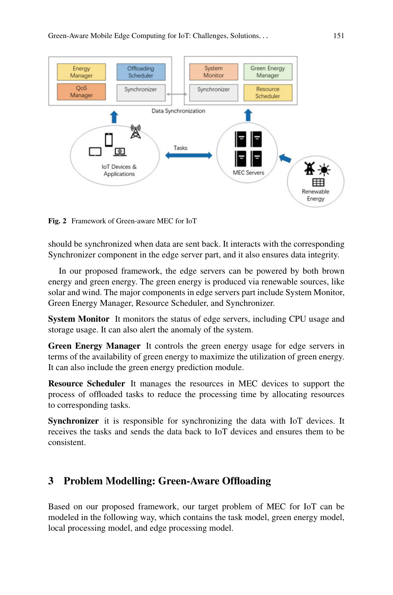

<span id="page-6-1"></span>**Fig. 2** Framework of Green-aware MEC for IoT

should be synchronized when data are sent back. It interacts with the corresponding Synchronizer component in the edge server part, and it also ensures data integrity.

In our proposed framework, the edge servers can be powered by both brown energy and green energy. The green energy is produced via renewable sources, like solar and wind. The major components in edge servers part include System Monitor, Green Energy Manager, Resource Scheduler, and Synchronizer.

**System Monitor** It monitors the status of edge servers, including CPU usage and storage usage. It can also alert the anomaly of the system.

**Green Energy Manager** It controls the green energy usage for edge servers in terms of the availability of green energy to maximize the utilization of green energy. It can also include the green energy prediction module.

**Resource Scheduler** It manages the resources in MEC devices to support the process of offloaded tasks to reduce the processing time by allocating resources to corresponding tasks.

**Synchronizer** it is responsible for synchronizing the data with IoT devices. It receives the tasks and sends the data back to IoT devices and ensures them to be consistent.

# <span id="page-6-0"></span>**3 Problem Modelling: Green-Aware Offloading**

Based on our proposed framework, our target problem of MEC for IoT can be modeled in the following way, which contains the task model, green energy model, local processing model, and edge processing model.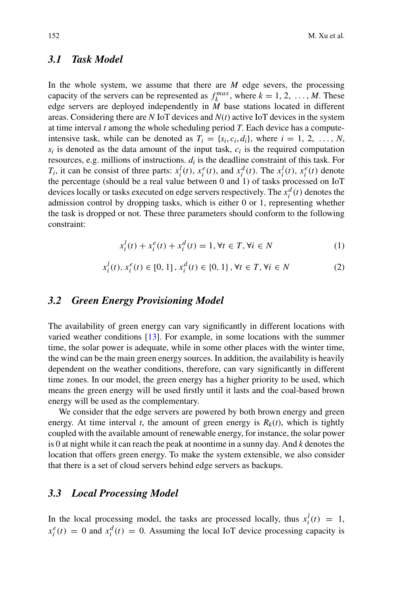# *3.1 Task Model*

In the whole system, we assume that there are *M* edge severs, the processing capacity of the servers can be represented as  $f_k^{max}$ , where  $k = 1, 2, ..., M$ . These edge servers are deployed independently in *M* base stations located in different areas. Considering there are *N* IoT devices and *N*(*t*) active IoT devices in the system at time interval *t* among the whole scheduling period *T*. Each device has a computeintensive task, while can be denoted as  $T_i = \{s_i, c_i, d_i\}$ , where  $i = 1, 2, ..., N$ ,  $s_i$  is denoted as the data amount of the input task,  $c_i$  is the required computation resources, e.g. millions of instructions. *di* is the deadline constraint of this task. For  $T_i$ , it can be consist of three parts:  $x_i^l(t)$ ,  $x_i^e(t)$ , and  $x_i^d(t)$ . The  $x_i^l(t)$ ,  $x_i^e(t)$  denote the percentage (should be a real value between 0 and 1) of tasks processed on IoT devices locally or tasks executed on edge servers respectively. The  $x_i^d(t)$  denotes the admission control by dropping tasks, which is either 0 or 1, representing whether the task is dropped or not. These three parameters should conform to the following constraint:

$$
x_i^l(t) + x_i^e(t) + x_i^d(t) = 1, \forall t \in T, \forall i \in N
$$
 (1)

$$
x_i^l(t), x_i^e(t) \in [0, 1], x_i^d(t) \in \{0, 1\}, \forall t \in T, \forall i \in N
$$
 (2)

#### <span id="page-7-0"></span>*3.2 Green Energy Provisioning Model*

The availability of green energy can vary significantly in different locations with varied weather conditions [\[13\]](#page-18-10). For example, in some locations with the summer time, the solar power is adequate, while in some other places with the winter time, the wind can be the main green energy sources. In addition, the availability is heavily dependent on the weather conditions, therefore, can vary significantly in different time zones. In our model, the green energy has a higher priority to be used, which means the green energy will be used firstly until it lasts and the coal-based brown energy will be used as the complementary.

We consider that the edge servers are powered by both brown energy and green energy. At time interval *t*, the amount of green energy is  $R_k(t)$ , which is tightly coupled with the available amount of renewable energy, for instance, the solar power is 0 at night while it can reach the peak at noontime in a sunny day. And *k* denotes the location that offers green energy. To make the system extensible, we also consider that there is a set of cloud servers behind edge servers as backups.

#### *3.3 Local Processing Model*

In the local processing model, the tasks are processed locally, thus  $x_i^l(t) = 1$ ,  $x_i^e(t) = 0$  and  $x_i^d(t) = 0$ . Assuming the local IoT device processing capacity is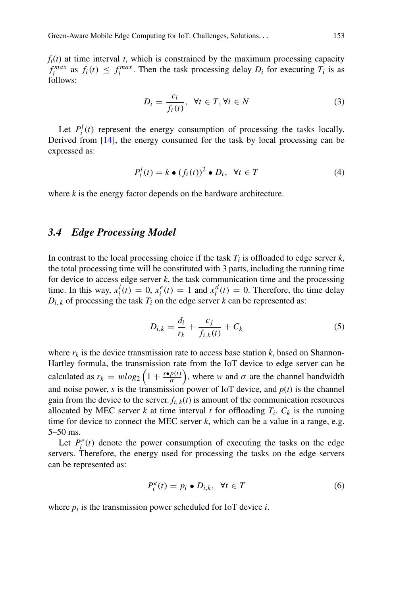$f_i(t)$  at time interval *t*, which is constrained by the maximum processing capacity  $f_i^{max}$  as  $f_i(t) \leq f_i^{max}$ . Then the task processing delay  $D_i$  for executing  $T_i$  is as follows:

$$
D_i = \frac{c_i}{f_i(t)}, \ \forall t \in T, \forall i \in N
$$
\n(3)

Let  $P_i^l(t)$  represent the energy consumption of processing the tasks locally. Derived from [\[14\]](#page-18-11), the energy consumed for the task by local processing can be expressed as:

$$
P_i^l(t) = k \bullet (f_i(t))^2 \bullet D_i, \ \forall t \in T
$$
 (4)

where *k* is the energy factor depends on the hardware architecture.

#### *3.4 Edge Processing Model*

In contrast to the local processing choice if the task  $T_i$  is offloaded to edge server  $k$ , the total processing time will be constituted with 3 parts, including the running time for device to access edge server  $k$ , the task communication time and the processing time. In this way,  $x_i^l(t) = 0$ ,  $x_i^e(t) = 1$  and  $x_i^d(t) = 0$ . Therefore, the time delay  $D_{i,k}$  of processing the task  $T_i$  on the edge server *k* can be represented as:

$$
D_{i,k} = \frac{d_i}{r_k} + \frac{c_j}{f_{i,k}(t)} + C_k
$$
 (5)

where  $r_k$  is the device transmission rate to access base station  $k$ , based on Shannon-Hartley formula, the transmission rate from the IoT device to edge server can be calculated as  $r_k = w \log_2 \left( 1 + \frac{s \cdot \phi(p)}{\sigma} \right)$ , where *w* and *σ* are the channel bandwidth and noise power, *s* is the transmission power of IoT device, and  $p(t)$  is the channel gain from the device to the server.  $f_{i,k}(t)$  is amount of the communication resources allocated by MEC server *k* at time interval *t* for offloading  $T_i$ .  $C_k$  is the running time for device to connect the MEC server *k*, which can be a value in a range, e.g. 5–50 ms.

Let  $P_i^e(t)$  denote the power consumption of executing the tasks on the edge servers. Therefore, the energy used for processing the tasks on the edge servers can be represented as:

$$
P_i^e(t) = p_i \bullet D_{i,k}, \quad \forall t \in T \tag{6}
$$

where  $p_i$  is the transmission power scheduled for IoT device  $i$ .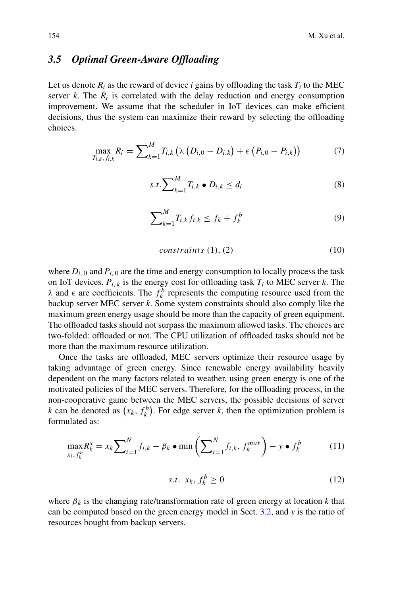## *3.5 Optimal Green-Aware Offloading*

Let us denote  $R_i$  as the reward of device *i* gains by offloading the task  $T_i$  to the MEC server  $k$ . The  $R_i$  is correlated with the delay reduction and energy consumption improvement. We assume that the scheduler in IoT devices can make efficient decisions, thus the system can maximize their reward by selecting the offloading choices.

$$
\max_{T_{i,k}, f_{i,k}} R_i = \sum_{k=1}^{M} T_{i,k} \left( \lambda \left( D_{i,0} - D_{i,k} \right) + \epsilon \left( P_{i,0} - P_{i,k} \right) \right) \tag{7}
$$

$$
s.t. \sum_{k=1}^{M} T_{i,k} \bullet D_{i,k} \le d_i \tag{8}
$$

$$
\sum_{k=1}^{M} T_{i,k} f_{i,k} \le f_k + f_k^b \tag{9}
$$

$$
constraints (1), (2) \tag{10}
$$

where  $D_{i,0}$  and  $P_{i,0}$  are the time and energy consumption to locally process the task on IoT devices.  $P_{i,k}$  is the energy cost for offloading task  $T_i$  to MEC server  $k$ . The *λ* and *ε* are coefficients. The  $f_k^b$  represents the computing resource used from the backup server MEC server *k*. Some system constraints should also comply like the maximum green energy usage should be more than the capacity of green equipment. The offloaded tasks should not surpass the maximum allowed tasks. The choices are two-folded: offloaded or not. The CPU utilization of offloaded tasks should not be more than the maximum resource utilization.

Once the tasks are offloaded, MEC servers optimize their resource usage by taking advantage of green energy. Since renewable energy availability heavily dependent on the many factors related to weather, using green energy is one of the motivated policies of the MEC servers. Therefore, for the offloading process, in the non-cooperative game between the MEC servers, the possible decisions of server *k* can be denoted as  $(x_k, f_k^b)$ . For edge server *k*, then the optimization problem is formulated as:

$$
\max_{x_i, f_k^b} R_k^s = x_k \sum_{i=1}^N f_{i,k} - \beta_k \bullet \min\left(\sum_{i=1}^N f_{i,k}, f_k^{max}\right) - y \bullet f_k^b \tag{11}
$$

$$
s.t. x_k, f_k^b \ge 0 \tag{12}
$$

where  $\beta_k$  is the changing rate/transformation rate of green energy at location *k* that can be computed based on the green energy model in Sect. [3.2,](#page-7-0) and *y* is the ratio of resources bought from backup servers.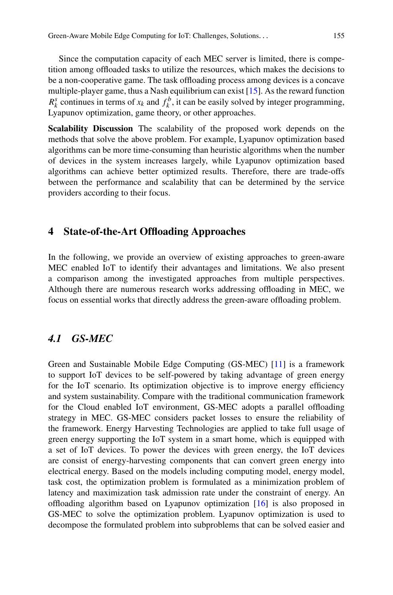Since the computation capacity of each MEC server is limited, there is competition among offloaded tasks to utilize the resources, which makes the decisions to be a non-cooperative game. The task offloading process among devices is a concave multiple-player game, thus a Nash equilibrium can exist [\[15\]](#page-18-12). As the reward function  $R_k^s$  continues in terms of  $x_k$  and  $f_k^b$ , it can be easily solved by integer programming, Lyapunov optimization, game theory, or other approaches.

**Scalability Discussion** The scalability of the proposed work depends on the methods that solve the above problem. For example, Lyapunov optimization based algorithms can be more time-consuming than heuristic algorithms when the number of devices in the system increases largely, while Lyapunov optimization based algorithms can achieve better optimized results. Therefore, there are trade-offs between the performance and scalability that can be determined by the service providers according to their focus.

#### <span id="page-10-0"></span>**4 State-of-the-Art Offloading Approaches**

In the following, we provide an overview of existing approaches to green-aware MEC enabled IoT to identify their advantages and limitations. We also present a comparison among the investigated approaches from multiple perspectives. Although there are numerous research works addressing offloading in MEC, we focus on essential works that directly address the green-aware offloading problem.

#### *4.1 GS-MEC*

Green and Sustainable Mobile Edge Computing (GS-MEC) [\[11\]](#page-18-8) is a framework to support IoT devices to be self-powered by taking advantage of green energy for the IoT scenario. Its optimization objective is to improve energy efficiency and system sustainability. Compare with the traditional communication framework for the Cloud enabled IoT environment, GS-MEC adopts a parallel offloading strategy in MEC. GS-MEC considers packet losses to ensure the reliability of the framework. Energy Harvesting Technologies are applied to take full usage of green energy supporting the IoT system in a smart home, which is equipped with a set of IoT devices. To power the devices with green energy, the IoT devices are consist of energy-harvesting components that can convert green energy into electrical energy. Based on the models including computing model, energy model, task cost, the optimization problem is formulated as a minimization problem of latency and maximization task admission rate under the constraint of energy. An offloading algorithm based on Lyapunov optimization [\[16\]](#page-18-13) is also proposed in GS-MEC to solve the optimization problem. Lyapunov optimization is used to decompose the formulated problem into subproblems that can be solved easier and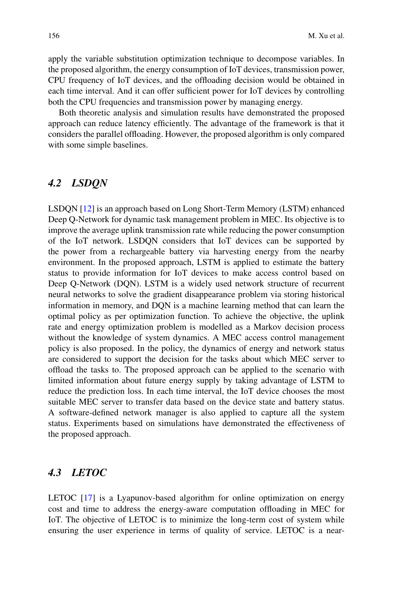apply the variable substitution optimization technique to decompose variables. In the proposed algorithm, the energy consumption of IoT devices, transmission power, CPU frequency of IoT devices, and the offloading decision would be obtained in each time interval. And it can offer sufficient power for IoT devices by controlling both the CPU frequencies and transmission power by managing energy.

Both theoretic analysis and simulation results have demonstrated the proposed approach can reduce latency efficiently. The advantage of the framework is that it considers the parallel offloading. However, the proposed algorithm is only compared with some simple baselines.

#### *4.2 LSDQN*

LSDQN [\[12\]](#page-18-9) is an approach based on Long Short-Term Memory (LSTM) enhanced Deep Q-Network for dynamic task management problem in MEC. Its objective is to improve the average uplink transmission rate while reducing the power consumption of the IoT network. LSDQN considers that IoT devices can be supported by the power from a rechargeable battery via harvesting energy from the nearby environment. In the proposed approach, LSTM is applied to estimate the battery status to provide information for IoT devices to make access control based on Deep Q-Network (DQN). LSTM is a widely used network structure of recurrent neural networks to solve the gradient disappearance problem via storing historical information in memory, and DQN is a machine learning method that can learn the optimal policy as per optimization function. To achieve the objective, the uplink rate and energy optimization problem is modelled as a Markov decision process without the knowledge of system dynamics. A MEC access control management policy is also proposed. In the policy, the dynamics of energy and network status are considered to support the decision for the tasks about which MEC server to offload the tasks to. The proposed approach can be applied to the scenario with limited information about future energy supply by taking advantage of LSTM to reduce the prediction loss. In each time interval, the IoT device chooses the most suitable MEC server to transfer data based on the device state and battery status. A software-defined network manager is also applied to capture all the system status. Experiments based on simulations have demonstrated the effectiveness of the proposed approach.

## <span id="page-11-0"></span>*4.3 LETOC*

LETOC [\[17\]](#page-18-14) is a Lyapunov-based algorithm for online optimization on energy cost and time to address the energy-aware computation offloading in MEC for IoT. The objective of LETOC is to minimize the long-term cost of system while ensuring the user experience in terms of quality of service. LETOC is a near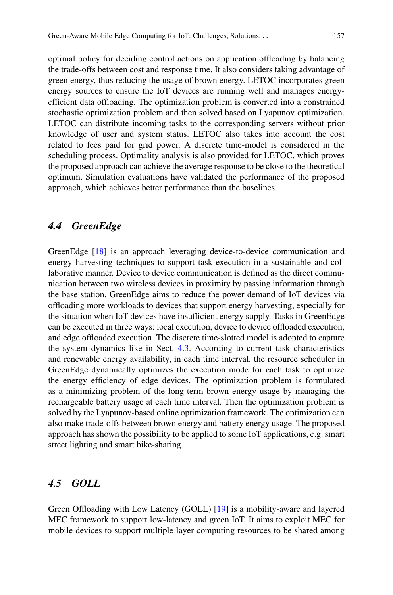optimal policy for deciding control actions on application offloading by balancing the trade-offs between cost and response time. It also considers taking advantage of green energy, thus reducing the usage of brown energy. LETOC incorporates green energy sources to ensure the IoT devices are running well and manages energyefficient data offloading. The optimization problem is converted into a constrained stochastic optimization problem and then solved based on Lyapunov optimization. LETOC can distribute incoming tasks to the corresponding servers without prior knowledge of user and system status. LETOC also takes into account the cost related to fees paid for grid power. A discrete time-model is considered in the scheduling process. Optimality analysis is also provided for LETOC, which proves the proposed approach can achieve the average response to be close to the theoretical optimum. Simulation evaluations have validated the performance of the proposed approach, which achieves better performance than the baselines.

#### *4.4 GreenEdge*

GreenEdge [\[18\]](#page-18-15) is an approach leveraging device-to-device communication and energy harvesting techniques to support task execution in a sustainable and collaborative manner. Device to device communication is defined as the direct communication between two wireless devices in proximity by passing information through the base station. GreenEdge aims to reduce the power demand of IoT devices via offloading more workloads to devices that support energy harvesting, especially for the situation when IoT devices have insufficient energy supply. Tasks in GreenEdge can be executed in three ways: local execution, device to device offloaded execution, and edge offloaded execution. The discrete time-slotted model is adopted to capture the system dynamics like in Sect. [4.3.](#page-11-0) According to current task characteristics and renewable energy availability, in each time interval, the resource scheduler in GreenEdge dynamically optimizes the execution mode for each task to optimize the energy efficiency of edge devices. The optimization problem is formulated as a minimizing problem of the long-term brown energy usage by managing the rechargeable battery usage at each time interval. Then the optimization problem is solved by the Lyapunov-based online optimization framework. The optimization can also make trade-offs between brown energy and battery energy usage. The proposed approach has shown the possibility to be applied to some IoT applications, e.g. smart street lighting and smart bike-sharing.

#### *4.5 GOLL*

Green Offloading with Low Latency (GOLL) [\[19\]](#page-18-16) is a mobility-aware and layered MEC framework to support low-latency and green IoT. It aims to exploit MEC for mobile devices to support multiple layer computing resources to be shared among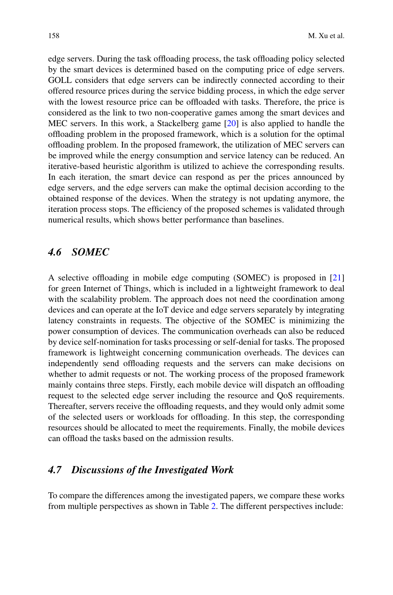edge servers. During the task offloading process, the task offloading policy selected by the smart devices is determined based on the computing price of edge servers. GOLL considers that edge servers can be indirectly connected according to their offered resource prices during the service bidding process, in which the edge server with the lowest resource price can be offloaded with tasks. Therefore, the price is considered as the link to two non-cooperative games among the smart devices and MEC servers. In this work, a Stackelberg game [\[20\]](#page-19-0) is also applied to handle the offloading problem in the proposed framework, which is a solution for the optimal offloading problem. In the proposed framework, the utilization of MEC servers can be improved while the energy consumption and service latency can be reduced. An iterative-based heuristic algorithm is utilized to achieve the corresponding results. In each iteration, the smart device can respond as per the prices announced by edge servers, and the edge servers can make the optimal decision according to the obtained response of the devices. When the strategy is not updating anymore, the iteration process stops. The efficiency of the proposed schemes is validated through numerical results, which shows better performance than baselines.

#### *4.6 SOMEC*

A selective offloading in mobile edge computing (SOMEC) is proposed in [\[21\]](#page-19-1) for green Internet of Things, which is included in a lightweight framework to deal with the scalability problem. The approach does not need the coordination among devices and can operate at the IoT device and edge servers separately by integrating latency constraints in requests. The objective of the SOMEC is minimizing the power consumption of devices. The communication overheads can also be reduced by device self-nomination for tasks processing or self-denial for tasks. The proposed framework is lightweight concerning communication overheads. The devices can independently send offloading requests and the servers can make decisions on whether to admit requests or not. The working process of the proposed framework mainly contains three steps. Firstly, each mobile device will dispatch an offloading request to the selected edge server including the resource and QoS requirements. Thereafter, servers receive the offloading requests, and they would only admit some of the selected users or workloads for offloading. In this step, the corresponding resources should be allocated to meet the requirements. Finally, the mobile devices can offload the tasks based on the admission results.

## *4.7 Discussions of the Investigated Work*

To compare the differences among the investigated papers, we compare these works from multiple perspectives as shown in Table [2.](#page-14-0) The different perspectives include: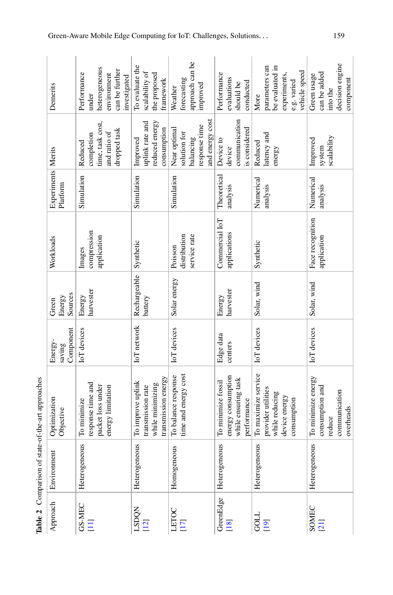| Approach                                            | Environment   | Optimization<br>Objective                                                                   | Component<br>Energy-<br>saving | Sources<br>Energy<br>Green | Workloads                               | Experiments Merits<br>Platform |                                                                               | Demerits                                                                                  |
|-----------------------------------------------------|---------------|---------------------------------------------------------------------------------------------|--------------------------------|----------------------------|-----------------------------------------|--------------------------------|-------------------------------------------------------------------------------|-------------------------------------------------------------------------------------------|
| GS-MEC<br>$\Xi$                                     | Heterogeneous | response time and<br>packet loss under<br>energy limitation<br>To minimize                  | <b>IoT</b> devices             | harvester<br>Energy        | compression<br>application<br>Images    | Simulation                     | time, task cost,<br>dropped task<br>and ratio of<br>completion<br>Reduced     | heterogeneous<br>can be further<br>Performance<br>environment<br>investigated<br>under    |
| $\begin{array}{c} \text{LSDQN} \\ [12] \end{array}$ | Heterogeneous | transmission energy<br>To improve uplink<br>while minimizing<br>transmission rate           | IoT network                    | Rechargeable<br>battery    | Synthetic                               | Simulation                     | reduced energy<br>uplink rate and<br>consumption<br>Improved                  | To evaluate the<br>scalability of<br>the proposed<br>framework                            |
| $\begin{array}{l} \text{LFTOC} \\ [17] \end{array}$ | Homogeneous   | time and energy cost<br>To balance response                                                 | IoT devices                    | Solar energy               | service rate<br>distribution<br>Poisson | Simulation                     | and energy cost<br>response time<br>Near optimal<br>solution for<br>balancing | approach can be<br>forecasting<br>improved<br>Weather                                     |
| GreenEdge<br>$[18]$                                 | Heterogeneous | energy consumption<br>while ensuring task<br>To minimize fossil<br>performance              | Edge data<br>centers           | harvester<br>Energy        | Commercial IoT<br>applications          | Theoretical<br>analysis        | communication<br>is considered<br>Device to<br>device                         | Performance<br>evaluations<br>conducted<br>should be                                      |
| <b>COLL</b><br>$[19]$                               | Heterogeneous | To maximize service<br>provider utilities<br>while reducing<br>device energy<br>consumption | IoT devices                    | Solar, wind                | Synthetic                               | Numerical<br>analysis          | latency and<br>Reduced<br>energy                                              | parameters can<br>be evaluated in<br>vehicle speed<br>experiments,<br>e.g. varied<br>More |
| SOMEC<br>[21]                                       | Heterogeneous | To minimize energy<br>consumption and<br>communication<br>overheads<br>reduce               | IoT devices                    | Solar, wind                | Face recognition<br>application         | Numerical<br>analysis          | scalability<br>Improved<br>system                                             | decision engine<br>can be added<br>Green usage<br>component<br>into the                   |

<span id="page-14-0"></span>**Table 2** Comparison of state-of-the-art approaches

Table 2 Comparison of state-of-the-art approaches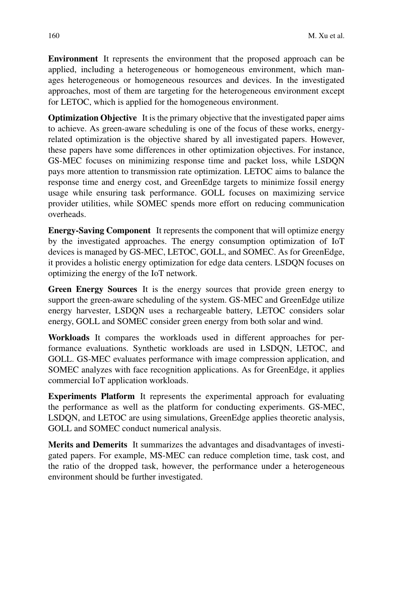**Environment** It represents the environment that the proposed approach can be applied, including a heterogeneous or homogeneous environment, which manages heterogeneous or homogeneous resources and devices. In the investigated approaches, most of them are targeting for the heterogeneous environment except for LETOC, which is applied for the homogeneous environment.

**Optimization Objective** It is the primary objective that the investigated paper aims to achieve. As green-aware scheduling is one of the focus of these works, energyrelated optimization is the objective shared by all investigated papers. However, these papers have some differences in other optimization objectives. For instance, GS-MEC focuses on minimizing response time and packet loss, while LSDQN pays more attention to transmission rate optimization. LETOC aims to balance the response time and energy cost, and GreenEdge targets to minimize fossil energy usage while ensuring task performance. GOLL focuses on maximizing service provider utilities, while SOMEC spends more effort on reducing communication overheads.

**Energy-Saving Component** It represents the component that will optimize energy by the investigated approaches. The energy consumption optimization of IoT devices is managed by GS-MEC, LETOC, GOLL, and SOMEC. As for GreenEdge, it provides a holistic energy optimization for edge data centers. LSDQN focuses on optimizing the energy of the IoT network.

**Green Energy Sources** It is the energy sources that provide green energy to support the green-aware scheduling of the system. GS-MEC and GreenEdge utilize energy harvester, LSDQN uses a rechargeable battery, LETOC considers solar energy, GOLL and SOMEC consider green energy from both solar and wind.

**Workloads** It compares the workloads used in different approaches for performance evaluations. Synthetic workloads are used in LSDQN, LETOC, and GOLL. GS-MEC evaluates performance with image compression application, and SOMEC analyzes with face recognition applications. As for GreenEdge, it applies commercial IoT application workloads.

**Experiments Platform** It represents the experimental approach for evaluating the performance as well as the platform for conducting experiments. GS-MEC, LSDQN, and LETOC are using simulations, GreenEdge applies theoretic analysis, GOLL and SOMEC conduct numerical analysis.

<span id="page-15-0"></span>**Merits and Demerits** It summarizes the advantages and disadvantages of investigated papers. For example, MS-MEC can reduce completion time, task cost, and the ratio of the dropped task, however, the performance under a heterogeneous environment should be further investigated.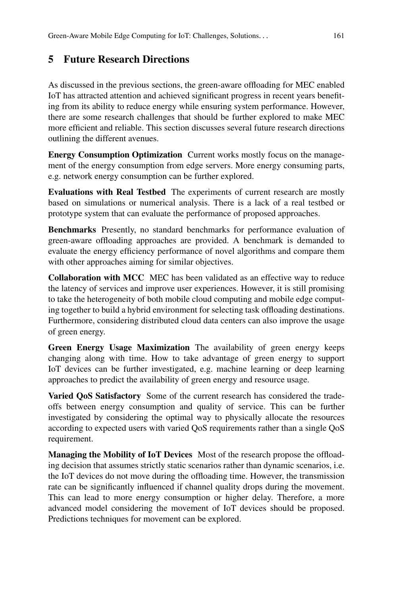# **5 Future Research Directions**

As discussed in the previous sections, the green-aware offloading for MEC enabled IoT has attracted attention and achieved significant progress in recent years benefiting from its ability to reduce energy while ensuring system performance. However, there are some research challenges that should be further explored to make MEC more efficient and reliable. This section discusses several future research directions outlining the different avenues.

**Energy Consumption Optimization** Current works mostly focus on the management of the energy consumption from edge servers. More energy consuming parts, e.g. network energy consumption can be further explored.

**Evaluations with Real Testbed** The experiments of current research are mostly based on simulations or numerical analysis. There is a lack of a real testbed or prototype system that can evaluate the performance of proposed approaches.

**Benchmarks** Presently, no standard benchmarks for performance evaluation of green-aware offloading approaches are provided. A benchmark is demanded to evaluate the energy efficiency performance of novel algorithms and compare them with other approaches aiming for similar objectives.

**Collaboration with MCC** MEC has been validated as an effective way to reduce the latency of services and improve user experiences. However, it is still promising to take the heterogeneity of both mobile cloud computing and mobile edge computing together to build a hybrid environment for selecting task offloading destinations. Furthermore, considering distributed cloud data centers can also improve the usage of green energy.

**Green Energy Usage Maximization** The availability of green energy keeps changing along with time. How to take advantage of green energy to support IoT devices can be further investigated, e.g. machine learning or deep learning approaches to predict the availability of green energy and resource usage.

**Varied QoS Satisfactory** Some of the current research has considered the tradeoffs between energy consumption and quality of service. This can be further investigated by considering the optimal way to physically allocate the resources according to expected users with varied QoS requirements rather than a single QoS requirement.

**Managing the Mobility of IoT Devices** Most of the research propose the offloading decision that assumes strictly static scenarios rather than dynamic scenarios, i.e. the IoT devices do not move during the offloading time. However, the transmission rate can be significantly influenced if channel quality drops during the movement. This can lead to more energy consumption or higher delay. Therefore, a more advanced model considering the movement of IoT devices should be proposed. Predictions techniques for movement can be explored.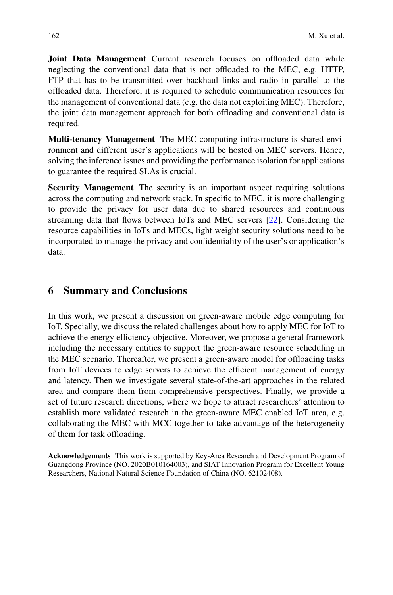**Joint Data Management** Current research focuses on offloaded data while neglecting the conventional data that is not offloaded to the MEC, e.g. HTTP, FTP that has to be transmitted over backhaul links and radio in parallel to the offloaded data. Therefore, it is required to schedule communication resources for the management of conventional data (e.g. the data not exploiting MEC). Therefore, the joint data management approach for both offloading and conventional data is required.

**Multi-tenancy Management** The MEC computing infrastructure is shared environment and different user's applications will be hosted on MEC servers. Hence, solving the inference issues and providing the performance isolation for applications to guarantee the required SLAs is crucial.

**Security Management** The security is an important aspect requiring solutions across the computing and network stack. In specific to MEC, it is more challenging to provide the privacy for user data due to shared resources and continuous streaming data that flows between IoTs and MEC servers [\[22\]](#page-19-2). Considering the resource capabilities in IoTs and MECs, light weight security solutions need to be incorporated to manage the privacy and confidentiality of the user's or application's data.

## <span id="page-17-0"></span>**6 Summary and Conclusions**

In this work, we present a discussion on green-aware mobile edge computing for IoT. Specially, we discuss the related challenges about how to apply MEC for IoT to achieve the energy efficiency objective. Moreover, we propose a general framework including the necessary entities to support the green-aware resource scheduling in the MEC scenario. Thereafter, we present a green-aware model for offloading tasks from IoT devices to edge servers to achieve the efficient management of energy and latency. Then we investigate several state-of-the-art approaches in the related area and compare them from comprehensive perspectives. Finally, we provide a set of future research directions, where we hope to attract researchers' attention to establish more validated research in the green-aware MEC enabled IoT area, e.g. collaborating the MEC with MCC together to take advantage of the heterogeneity of them for task offloading.

**Acknowledgements** This work is supported by Key-Area Research and Development Program of Guangdong Province (NO. 2020B010164003), and SIAT Innovation Program for Excellent Young Researchers, National Natural Science Foundation of China (NO. 62102408).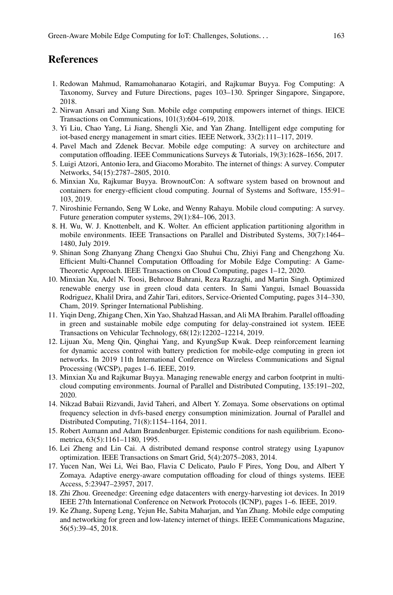# **References**

- <span id="page-18-0"></span>1. Redowan Mahmud, Ramamohanarao Kotagiri, and Rajkumar Buyya. Fog Computing: A Taxonomy, Survey and Future Directions, pages 103–130. Springer Singapore, Singapore, 2018.
- <span id="page-18-1"></span>2. Nirwan Ansari and Xiang Sun. Mobile edge computing empowers internet of things. IEICE Transactions on Communications, 101(3):604–619, 2018.
- 3. Yi Liu, Chao Yang, Li Jiang, Shengli Xie, and Yan Zhang. Intelligent edge computing for iot-based energy management in smart cities. IEEE Network, 33(2):111–117, 2019.
- 4. Pavel Mach and Zdenek Becvar. Mobile edge computing: A survey on architecture and computation offloading. IEEE Communications Surveys & Tutorials, 19(3):1628–1656, 2017.
- <span id="page-18-2"></span>5. Luigi Atzori, Antonio Iera, and Giacomo Morabito. The internet of things: A survey. Computer Networks, 54(15):2787–2805, 2010.
- <span id="page-18-3"></span>6. Minxian Xu, Rajkumar Buyya. BrownoutCon: A software system based on brownout and containers for energy-efficient cloud computing. Journal of Systems and Software, 155:91– 103, 2019.
- <span id="page-18-4"></span>7. Niroshinie Fernando, Seng W Loke, and Wenny Rahayu. Mobile cloud computing: A survey. Future generation computer systems, 29(1):84–106, 2013.
- <span id="page-18-5"></span>8. H. Wu, W. J. Knottenbelt, and K. Wolter. An efficient application partitioning algorithm in mobile environments. IEEE Transactions on Parallel and Distributed Systems, 30(7):1464– 1480, July 2019.
- <span id="page-18-6"></span>9. Shinan Song Zhanyang Zhang Chengxi Gao Shuhui Chu, Zhiyi Fang and Chengzhong Xu. Efficient Multi-Channel Computation Offloading for Mobile Edge Computing: A Game-Theoretic Approach. IEEE Transactions on Cloud Computing, pages 1–12, 2020.
- <span id="page-18-7"></span>10. Minxian Xu, Adel N. Toosi, Behrooz Bahrani, Reza Razzaghi, and Martin Singh. Optimized renewable energy use in green cloud data centers. In Sami Yangui, Ismael Bouassida Rodriguez, Khalil Drira, and Zahir Tari, editors, Service-Oriented Computing, pages 314–330, Cham, 2019. Springer International Publishing.
- <span id="page-18-8"></span>11. Yiqin Deng, Zhigang Chen, Xin Yao, Shahzad Hassan, and Ali MA Ibrahim. Parallel offloading in green and sustainable mobile edge computing for delay-constrained iot system. IEEE Transactions on Vehicular Technology, 68(12):12202–12214, 2019.
- <span id="page-18-9"></span>12. Lijuan Xu, Meng Qin, Qinghai Yang, and KyungSup Kwak. Deep reinforcement learning for dynamic access control with battery prediction for mobile-edge computing in green iot networks. In 2019 11th International Conference on Wireless Communications and Signal Processing (WCSP), pages 1–6. IEEE, 2019.
- <span id="page-18-10"></span>13. Minxian Xu and Rajkumar Buyya. Managing renewable energy and carbon footprint in multicloud computing environments. Journal of Parallel and Distributed Computing, 135:191–202, 2020.
- <span id="page-18-11"></span>14. Nikzad Babaii Rizvandi, Javid Taheri, and Albert Y. Zomaya. Some observations on optimal frequency selection in dvfs-based energy consumption minimization. Journal of Parallel and Distributed Computing, 71(8):1154–1164, 2011.
- <span id="page-18-12"></span>15. Robert Aumann and Adam Brandenburger. Epistemic conditions for nash equilibrium. Econometrica, 63(5):1161–1180, 1995.
- <span id="page-18-13"></span>16. Lei Zheng and Lin Cai. A distributed demand response control strategy using Lyapunov optimization. IEEE Transactions on Smart Grid, 5(4):2075–2083, 2014.
- <span id="page-18-14"></span>17. Yucen Nan, Wei Li, Wei Bao, Flavia C Delicato, Paulo F Pires, Yong Dou, and Albert Y Zomaya. Adaptive energy-aware computation offloading for cloud of things systems. IEEE Access, 5:23947–23957, 2017.
- <span id="page-18-15"></span>18. Zhi Zhou. Greenedge: Greening edge datacenters with energy-harvesting iot devices. In 2019 IEEE 27th International Conference on Network Protocols (ICNP), pages 1–6. IEEE, 2019.
- <span id="page-18-16"></span>19. Ke Zhang, Supeng Leng, Yejun He, Sabita Maharjan, and Yan Zhang. Mobile edge computing and networking for green and low-latency internet of things. IEEE Communications Magazine, 56(5):39–45, 2018.